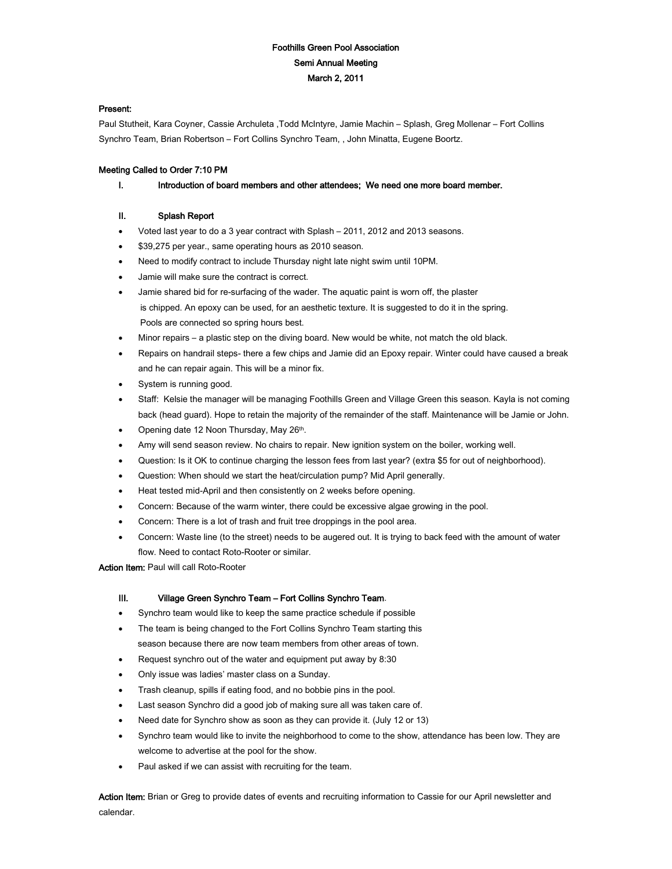# Foothills Green Pool Association Semi Annual Meeting March 2, 2011

# Present:

Paul Stutheit, Kara Coyner, Cassie Archuleta ,Todd McIntyre, Jamie Machin – Splash, Greg Mollenar – Fort Collins Synchro Team, Brian Robertson – Fort Collins Synchro Team, , John Minatta, Eugene Boortz.

# Meeting Called to Order 7:10 PM

### I. Introduction of board members and other attendees; We need one more board member.

# II. Splash Report

- Voted last year to do a 3 year contract with Splash 2011, 2012 and 2013 seasons.
- \$39,275 per year., same operating hours as 2010 season.
- Need to modify contract to include Thursday night late night swim until 10PM.
- Jamie will make sure the contract is correct.
- Jamie shared bid for re-surfacing of the wader. The aquatic paint is worn off, the plaster is chipped. An epoxy can be used, for an aesthetic texture. It is suggested to do it in the spring. Pools are connected so spring hours best.
- Minor repairs a plastic step on the diving board. New would be white, not match the old black.
- Repairs on handrail steps- there a few chips and Jamie did an Epoxy repair. Winter could have caused a break and he can repair again. This will be a minor fix.
- System is running good.
- Staff: Kelsie the manager will be managing Foothills Green and Village Green this season. Kayla is not coming back (head guard). Hope to retain the majority of the remainder of the staff. Maintenance will be Jamie or John.
- Opening date 12 Noon Thursday, May 26th.
- Amy will send season review. No chairs to repair. New ignition system on the boiler, working well.
- Question: Is it OK to continue charging the lesson fees from last year? (extra \$5 for out of neighborhood).
- Question: When should we start the heat/circulation pump? Mid April generally.
- Heat tested mid-April and then consistently on 2 weeks before opening.
- Concern: Because of the warm winter, there could be excessive algae growing in the pool.
- Concern: There is a lot of trash and fruit tree droppings in the pool area.
- Concern: Waste line (to the street) needs to be augered out. It is trying to back feed with the amount of water flow. Need to contact Roto-Rooter or similar.

Action Item: Paul will call Roto-Rooter

### III. Village Green Synchro Team – Fort Collins Synchro Team.

- Synchro team would like to keep the same practice schedule if possible
- The team is being changed to the Fort Collins Synchro Team starting this season because there are now team members from other areas of town.
- Request synchro out of the water and equipment put away by 8:30
- Only issue was ladies' master class on a Sunday.
- Trash cleanup, spills if eating food, and no bobbie pins in the pool.
- Last season Synchro did a good job of making sure all was taken care of.
- Need date for Synchro show as soon as they can provide it. (July 12 or 13)
- Synchro team would like to invite the neighborhood to come to the show, attendance has been low. They are welcome to advertise at the pool for the show.
- Paul asked if we can assist with recruiting for the team.

Action Item: Brian or Greg to provide dates of events and recruiting information to Cassie for our April newsletter and calendar.